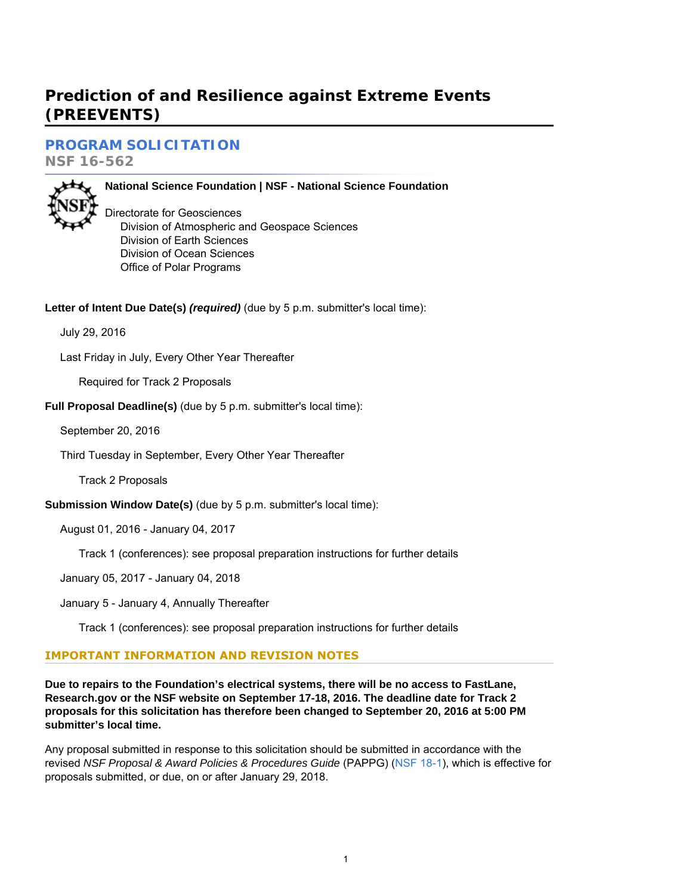# **Prediction of and Resilience against Extreme Events (PREEVENTS)**

## **[PROGRAM SOLICITATION](#page-5-0)**

**NSF 16-562**



## **National Science Foundation | NSF - National Science Foundation**

Directorate for Geosciences Division of Atmospheric and Geospace Sciences Division of Earth Sciences Division of Ocean Sciences Office of Polar Programs

**Letter of Intent Due Date(s)** *(required)* (due by 5 p.m. submitter's local time):

July 29, 2016

Last Friday in July, Every Other Year Thereafter

Required for Track 2 Proposals

**Full Proposal Deadline(s)** (due by 5 p.m. submitter's local time):

September 20, 2016

Third Tuesday in September, Every Other Year Thereafter

Track 2 Proposals

**Submission Window Date(s)** (due by 5 p.m. submitter's local time):

August 01, 2016 - January 04, 2017

Track 1 (conferences): see proposal preparation instructions for further details

January 05, 2017 - January 04, 2018

January 5 - January 4, Annually Thereafter

Track 1 (conferences): see proposal preparation instructions for further details

## **IMPORTANT INFORMATION AND REVISION NOTES**

**Due to repairs to the Foundation's electrical systems, there will be no access to FastLane, Research.gov or the NSF website on September 17-18, 2016. The deadline date for Track 2 proposals for this solicitation has therefore been changed to September 20, 2016 at 5:00 PM submitter's local time.**

<span id="page-0-0"></span>Any proposal submitted in response to this solicitation should be submitted in accordance with the revised *NSF Proposal & Award Policies & Procedures Guide* (PAPPG) ([NSF 18-1](https://www.nsf.gov/publications/pub_summ.jsp?ods_key=nsf18001)), which is effective for proposals submitted, or due, on or after January 29, 2018.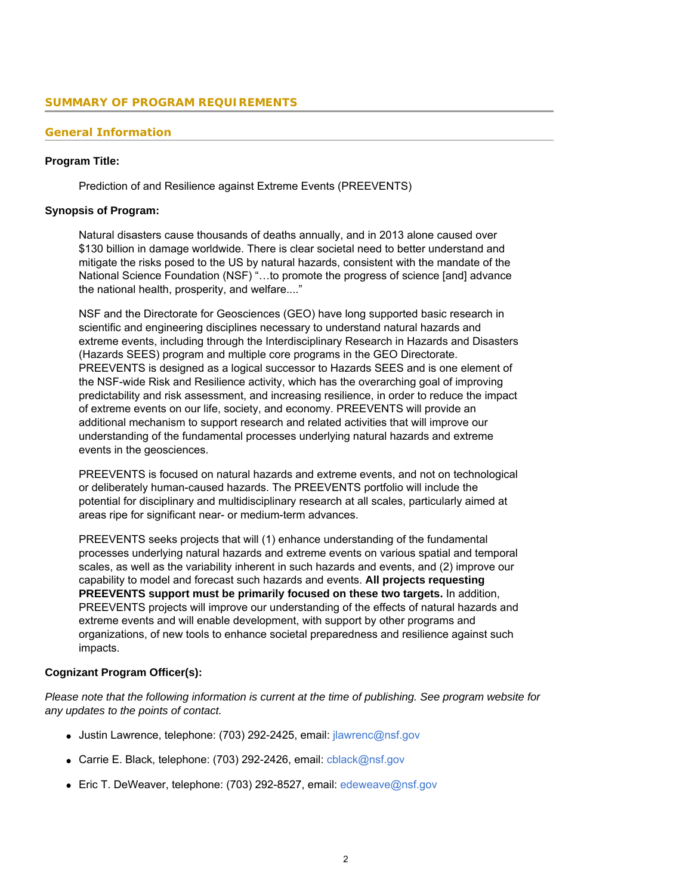## **SUMMARY OF PROGRAM REQUIREMENTS**

## **General Information**

#### **Program Title:**

Prediction of and Resilience against Extreme Events (PREEVENTS)

#### **Synopsis of Program:**

Natural disasters cause thousands of deaths annually, and in 2013 alone caused over \$130 billion in damage worldwide. There is clear societal need to better understand and mitigate the risks posed to the US by natural hazards, consistent with the mandate of the National Science Foundation (NSF) "…to promote the progress of science [and] advance the national health, prosperity, and welfare...."

NSF and the Directorate for Geosciences (GEO) have long supported basic research in scientific and engineering disciplines necessary to understand natural hazards and extreme events, including through the Interdisciplinary Research in Hazards and Disasters (Hazards SEES) program and multiple core programs in the GEO Directorate. PREEVENTS is designed as a logical successor to Hazards SEES and is one element of the NSF-wide Risk and Resilience activity, which has the overarching goal of improving predictability and risk assessment, and increasing resilience, in order to reduce the impact of extreme events on our life, society, and economy. PREEVENTS will provide an additional mechanism to support research and related activities that will improve our understanding of the fundamental processes underlying natural hazards and extreme events in the geosciences.

PREEVENTS is focused on natural hazards and extreme events, and not on technological or deliberately human-caused hazards. The PREEVENTS portfolio will include the potential for disciplinary and multidisciplinary research at all scales, particularly aimed at areas ripe for significant near- or medium-term advances.

PREEVENTS seeks projects that will (1) enhance understanding of the fundamental processes underlying natural hazards and extreme events on various spatial and temporal scales, as well as the variability inherent in such hazards and events, and (2) improve our capability to model and forecast such hazards and events. **All projects requesting PREEVENTS support must be primarily focused on these two targets.** In addition, PREEVENTS projects will improve our understanding of the effects of natural hazards and extreme events and will enable development, with support by other programs and organizations, of new tools to enhance societal preparedness and resilience against such impacts.

## **Cognizant Program Officer(s):**

*Please note that the following information is current at the time of publishing. See program website for any updates to the points of contact.*

- Justin Lawrence, telephone: (703) 292-2425, email: [jlawrenc@nsf.gov](mailto:jlawrenc@nsf.gov)
- Carrie E. Black, telephone:  $(703)$  292-2426, email: [cblack@nsf.gov](mailto:cblack@nsf.gov)
- **Eric T. DeWeaver, telephone: (703) 292-8527, email: [edeweave@nsf.gov](mailto:edeweave@nsf.gov)**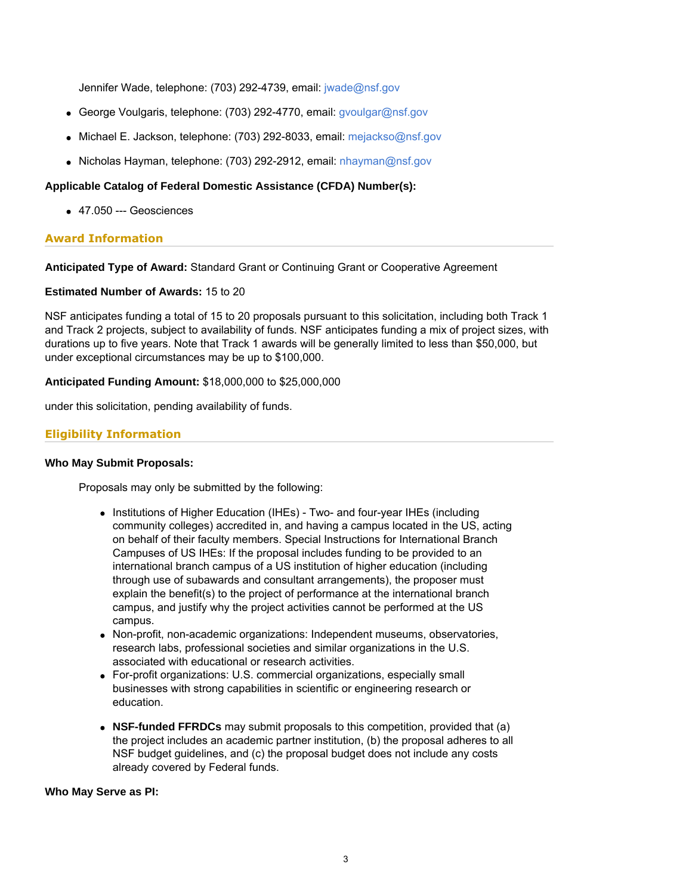Jennifer Wade, telephone: (703) 292-4739, email: [jwade@nsf.gov](mailto:jwade@nsf.gov)

- George Voulgaris, telephone: (703) 292-4770, email: [gvoulgar@nsf.gov](mailto:gvoulgar@nsf.gov)
- Michael E. Jackson, telephone: (703) 292-8033, email: [mejackso@nsf.gov](mailto:mejackso@nsf.gov)
- Nicholas Hayman, telephone: (703) 292-2912, email: [nhayman@nsf.gov](mailto:nhayman@nsf.gov)

#### **Applicable Catalog of Federal Domestic Assistance (CFDA) Number(s):**

47.050 --- Geosciences

## **Award Information**

**Anticipated Type of Award:** Standard Grant or Continuing Grant or Cooperative Agreement

#### **Estimated Number of Awards:** 15 to 20

NSF anticipates funding a total of 15 to 20 proposals pursuant to this solicitation, including both Track 1 and Track 2 projects, subject to availability of funds. NSF anticipates funding a mix of project sizes, with durations up to five years. Note that Track 1 awards will be generally limited to less than \$50,000, but under exceptional circumstances may be up to \$100,000.

**Anticipated Funding Amount:** \$18,000,000 to \$25,000,000

under this solicitation, pending availability of funds.

## **Eligibility Information**

#### **Who May Submit Proposals:**

Proposals may only be submitted by the following:

- Institutions of Higher Education (IHEs) Two- and four-year IHEs (including community colleges) accredited in, and having a campus located in the US, acting on behalf of their faculty members. Special Instructions for International Branch Campuses of US IHEs: If the proposal includes funding to be provided to an international branch campus of a US institution of higher education (including through use of subawards and consultant arrangements), the proposer must explain the benefit(s) to the project of performance at the international branch campus, and justify why the project activities cannot be performed at the US campus.
- Non-profit, non-academic organizations: Independent museums, observatories, research labs, professional societies and similar organizations in the U.S. associated with educational or research activities.
- For-profit organizations: U.S. commercial organizations, especially small businesses with strong capabilities in scientific or engineering research or education.
- **NSF-funded FFRDCs** may submit proposals to this competition, provided that (a) the project includes an academic partner institution, (b) the proposal adheres to all NSF budget guidelines, and (c) the proposal budget does not include any costs already covered by Federal funds.

#### **Who May Serve as PI:**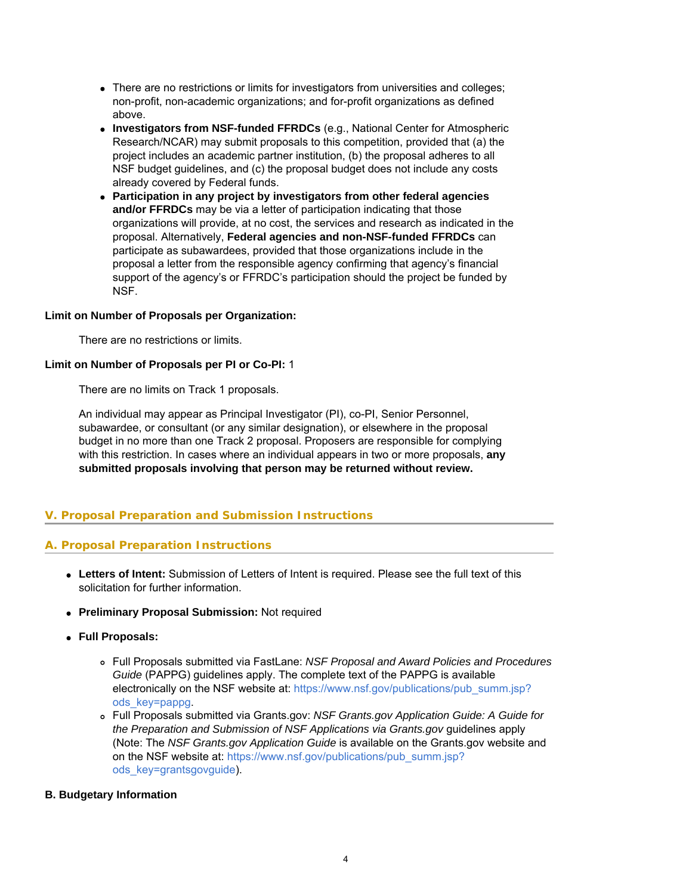- There are no restrictions or limits for investigators from universities and colleges; non-profit, non-academic organizations; and for-profit organizations as defined above.
- **Investigators from NSF-funded FFRDCs** (e.g., National Center for Atmospheric Research/NCAR) may submit proposals to this competition, provided that (a) the project includes an academic partner institution, (b) the proposal adheres to all NSF budget guidelines, and (c) the proposal budget does not include any costs already covered by Federal funds.
- **Participation in any project by investigators from other federal agencies and/or FFRDCs** may be via a letter of participation indicating that those organizations will provide, at no cost, the services and research as indicated in the proposal. Alternatively, **Federal agencies and non-NSF-funded FFRDCs** can participate as subawardees, provided that those organizations include in the proposal a letter from the responsible agency confirming that agency's financial support of the agency's or FFRDC's participation should the project be funded by NSF.

#### **Limit on Number of Proposals per Organization:**

There are no restrictions or limits.

## **Limit on Number of Proposals per PI or Co-PI:** 1

There are no limits on Track 1 proposals.

An individual may appear as Principal Investigator (PI), co-PI, Senior Personnel, subawardee, or consultant (or any similar designation), or elsewhere in the proposal budget in no more than one Track 2 proposal. Proposers are responsible for complying with this restriction. In cases where an individual appears in two or more proposals, **any submitted proposals involving that person may be returned without review.**

## **V. Proposal Preparation and Submission Instructions**

## **A. Proposal Preparation Instructions**

- **Letters of Intent:** Submission of Letters of Intent is required. Please see the full text of this solicitation for further information.
- **Preliminary Proposal Submission:** Not required
- **Full Proposals:**
	- Full Proposals submitted via FastLane: *NSF Proposal and Award Policies and Procedures Guide* (PAPPG) guidelines apply. The complete text of the PAPPG is available electronically on the NSF website at: [https://www.nsf.gov/publications/pub\\_summ.jsp?](https://www.nsf.gov/publications/pub_summ.jsp?ods_key=pappg) [ods\\_key=pappg.](https://www.nsf.gov/publications/pub_summ.jsp?ods_key=pappg)
	- Full Proposals submitted via Grants.gov: *NSF Grants.gov Application Guide: A Guide for the Preparation and Submission of NSF Applications via Grants.gov* guidelines apply (Note: The *NSF Grants.gov Application Guide* is available on the Grants.gov website and on the NSF website at: [https://www.nsf.gov/publications/pub\\_summ.jsp?](https://www.nsf.gov/publications/pub_summ.jsp?ods_key=grantsgovguide) [ods\\_key=grantsgovguide](https://www.nsf.gov/publications/pub_summ.jsp?ods_key=grantsgovguide)).

#### **B. Budgetary Information**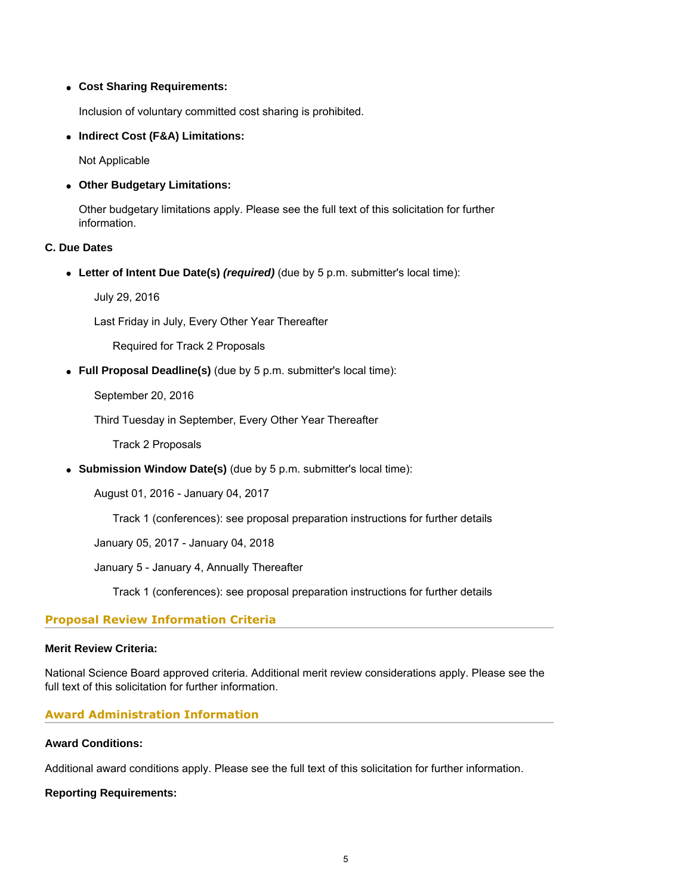#### **Cost Sharing Requirements:**

Inclusion of voluntary committed cost sharing is prohibited.

**Indirect Cost (F&A) Limitations:**

Not Applicable

**Other Budgetary Limitations:**

Other budgetary limitations apply. Please see the full text of this solicitation for further information.

## **C. Due Dates**

**Letter of Intent Due Date(s)** *(required)* (due by 5 p.m. submitter's local time):

July 29, 2016

Last Friday in July, Every Other Year Thereafter

Required for Track 2 Proposals

**Full Proposal Deadline(s)** (due by 5 p.m. submitter's local time):

September 20, 2016

Third Tuesday in September, Every Other Year Thereafter

Track 2 Proposals

**Submission Window Date(s)** (due by 5 p.m. submitter's local time):

August 01, 2016 - January 04, 2017

Track 1 (conferences): see proposal preparation instructions for further details

January 05, 2017 - January 04, 2018

January 5 - January 4, Annually Thereafter

Track 1 (conferences): see proposal preparation instructions for further details

## **Proposal Review Information Criteria**

## **Merit Review Criteria:**

National Science Board approved criteria. Additional merit review considerations apply. Please see the full text of this solicitation for further information.

## **Award Administration Information**

#### **Award Conditions:**

Additional award conditions apply. Please see the full text of this solicitation for further information.

#### **Reporting Requirements:**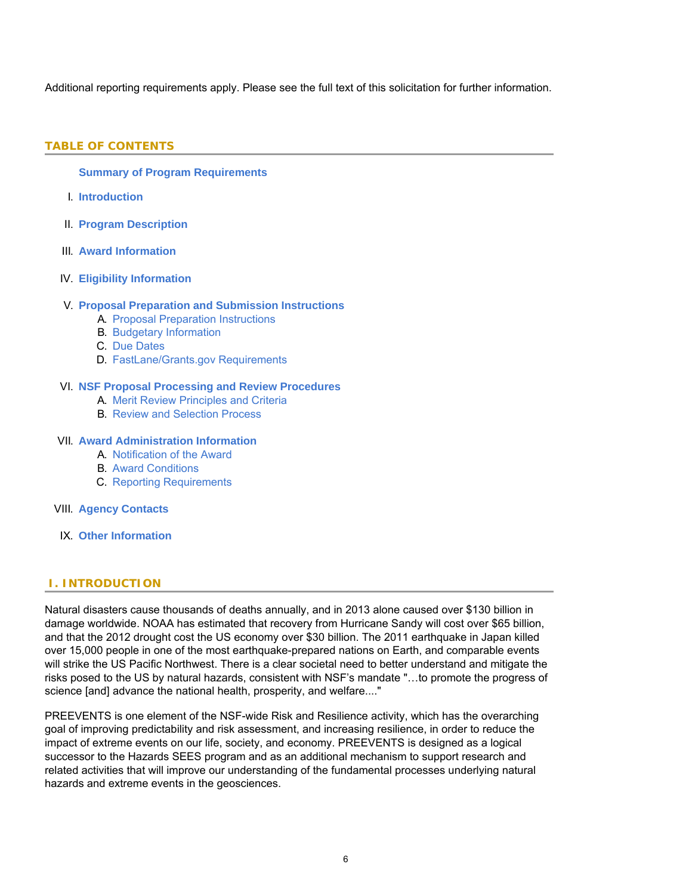<span id="page-5-0"></span>Additional reporting requirements apply. Please see the full text of this solicitation for further information.

## **TABLE OF CONTENTS**

#### **[Summary of Program Requirements](#page-0-0)**

- I. **[Introduction](#page-5-1)**
- II. **[Program Description](#page-6-0)**
- III. **[Award Information](#page-7-0)**
- IV. **[Eligibility Information](#page-7-1)**

#### V. **[Proposal Preparation and Submission Instructions](#page-8-0)**

- A. [Proposal Preparation Instructions](#page-8-0)
- B. [Budgetary Information](#page-13-0)
- C. [Due Dates](#page-13-1)
- D. [FastLane/Grants.gov Requirements](#page-14-0)

#### VI. **[NSF Proposal Processing and Review Procedures](#page-14-1)**

- A. [Merit Review Principles and Criteria](#page-15-0)
- B. [Review and Selection Process](#page-17-0)

## VII. **[Award Administration Information](#page-18-0)**

- A. [Notification of the Award](#page-18-1)
- B. [Award Conditions](#page-18-2)
- C. [Reporting Requirements](#page-19-0)

#### VIII. **[Agency Contacts](#page-20-0)**

IX. **[Other Information](#page-20-1)**

#### <span id="page-5-1"></span> **I. INTRODUCTION**

Natural disasters cause thousands of deaths annually, and in 2013 alone caused over \$130 billion in damage worldwide. NOAA has estimated that recovery from Hurricane Sandy will cost over \$65 billion, and that the 2012 drought cost the US economy over \$30 billion. The 2011 earthquake in Japan killed over 15,000 people in one of the most earthquake-prepared nations on Earth, and comparable events will strike the US Pacific Northwest. There is a clear societal need to better understand and mitigate the risks posed to the US by natural hazards, consistent with NSF's mandate "…to promote the progress of science [and] advance the national health, prosperity, and welfare...."

PREEVENTS is one element of the NSF-wide Risk and Resilience activity, which has the overarching goal of improving predictability and risk assessment, and increasing resilience, in order to reduce the impact of extreme events on our life, society, and economy. PREEVENTS is designed as a logical successor to the Hazards SEES program and as an additional mechanism to support research and related activities that will improve our understanding of the fundamental processes underlying natural hazards and extreme events in the geosciences.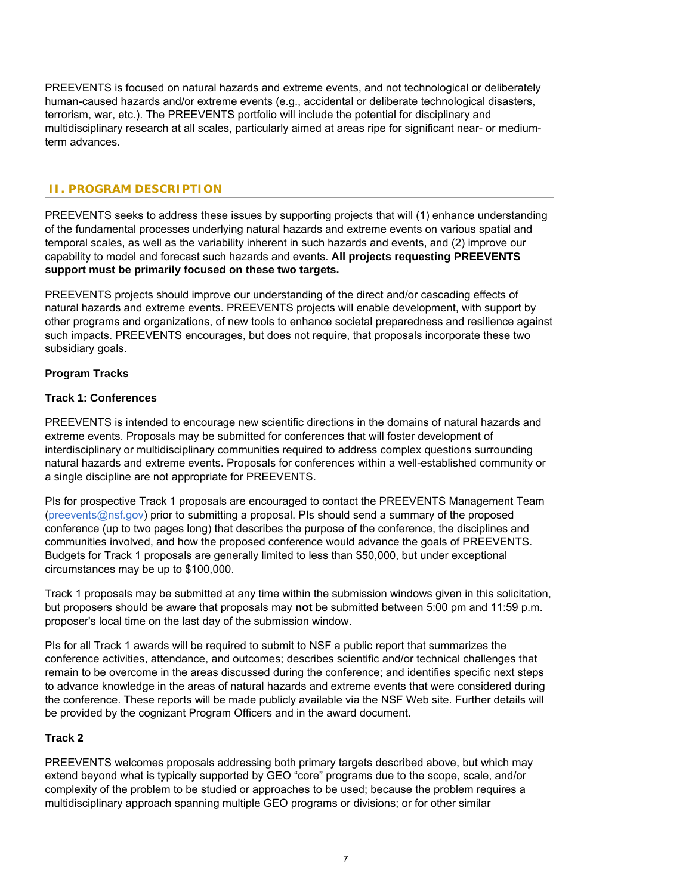PREEVENTS is focused on natural hazards and extreme events, and not technological or deliberately human-caused hazards and/or extreme events (e.g., accidental or deliberate technological disasters, terrorism, war, etc.). The PREEVENTS portfolio will include the potential for disciplinary and multidisciplinary research at all scales, particularly aimed at areas ripe for significant near- or mediumterm advances.

## <span id="page-6-0"></span>**II. PROGRAM DESCRIPTION**

PREEVENTS seeks to address these issues by supporting projects that will (1) enhance understanding of the fundamental processes underlying natural hazards and extreme events on various spatial and temporal scales, as well as the variability inherent in such hazards and events, and (2) improve our capability to model and forecast such hazards and events. **All projects requesting PREEVENTS support must be primarily focused on these two targets.**

PREEVENTS projects should improve our understanding of the direct and/or cascading effects of natural hazards and extreme events. PREEVENTS projects will enable development, with support by other programs and organizations, of new tools to enhance societal preparedness and resilience against such impacts. PREEVENTS encourages, but does not require, that proposals incorporate these two subsidiary goals.

## **Program Tracks**

## **Track 1: Conferences**

PREEVENTS is intended to encourage new scientific directions in the domains of natural hazards and extreme events. Proposals may be submitted for conferences that will foster development of interdisciplinary or multidisciplinary communities required to address complex questions surrounding natural hazards and extreme events. Proposals for conferences within a well-established community or a single discipline are not appropriate for PREEVENTS.

PIs for prospective Track 1 proposals are encouraged to contact the PREEVENTS Management Team ([preevents@nsf.gov](mailto:preevents@nsf.gov)) prior to submitting a proposal. PIs should send a summary of the proposed conference (up to two pages long) that describes the purpose of the conference, the disciplines and communities involved, and how the proposed conference would advance the goals of PREEVENTS. Budgets for Track 1 proposals are generally limited to less than \$50,000, but under exceptional circumstances may be up to \$100,000.

Track 1 proposals may be submitted at any time within the submission windows given in this solicitation, but proposers should be aware that proposals may **not** be submitted between 5:00 pm and 11:59 p.m. proposer's local time on the last day of the submission window.

PIs for all Track 1 awards will be required to submit to NSF a public report that summarizes the conference activities, attendance, and outcomes; describes scientific and/or technical challenges that remain to be overcome in the areas discussed during the conference; and identifies specific next steps to advance knowledge in the areas of natural hazards and extreme events that were considered during the conference. These reports will be made publicly available via the NSF Web site. Further details will be provided by the cognizant Program Officers and in the award document.

#### **Track 2**

PREEVENTS welcomes proposals addressing both primary targets described above, but which may extend beyond what is typically supported by GEO "core" programs due to the scope, scale, and/or complexity of the problem to be studied or approaches to be used; because the problem requires a multidisciplinary approach spanning multiple GEO programs or divisions; or for other similar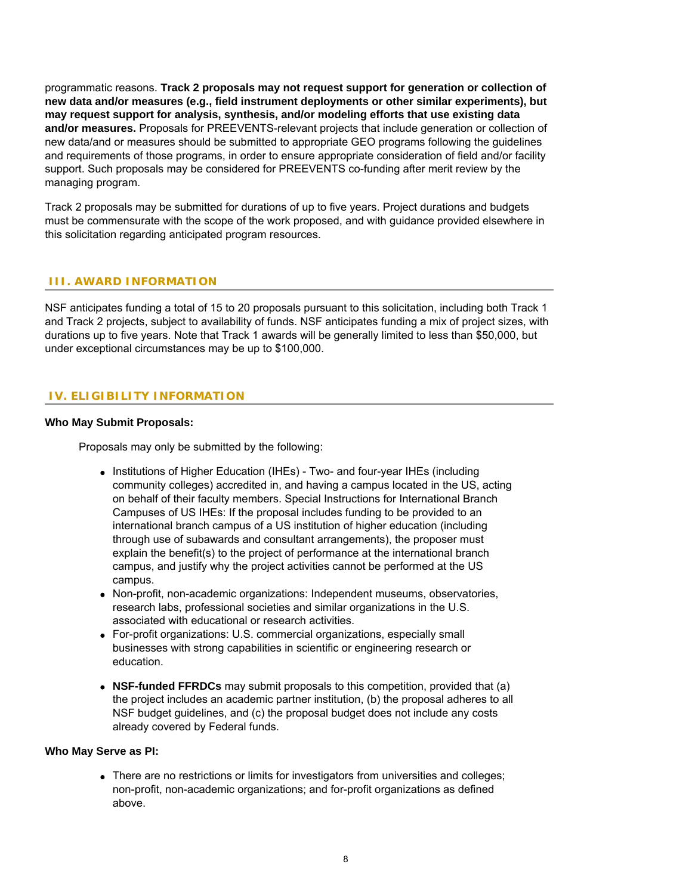programmatic reasons. **Track 2 proposals may not request support for generation or collection of new data and/or measures (e.g., field instrument deployments or other similar experiments), but may request support for analysis, synthesis, and/or modeling efforts that use existing data and/or measures.** Proposals for PREEVENTS-relevant projects that include generation or collection of new data/and or measures should be submitted to appropriate GEO programs following the guidelines and requirements of those programs, in order to ensure appropriate consideration of field and/or facility support. Such proposals may be considered for PREEVENTS co-funding after merit review by the managing program.

Track 2 proposals may be submitted for durations of up to five years. Project durations and budgets must be commensurate with the scope of the work proposed, and with guidance provided elsewhere in this solicitation regarding anticipated program resources.

## <span id="page-7-0"></span>**III. AWARD INFORMATION**

NSF anticipates funding a total of 15 to 20 proposals pursuant to this solicitation, including both Track 1 and Track 2 projects, subject to availability of funds. NSF anticipates funding a mix of project sizes, with durations up to five years. Note that Track 1 awards will be generally limited to less than \$50,000, but under exceptional circumstances may be up to \$100,000.

## <span id="page-7-1"></span>**IV. ELIGIBILITY INFORMATION**

#### **Who May Submit Proposals:**

Proposals may only be submitted by the following:

- Institutions of Higher Education (IHEs) Two- and four-year IHEs (including community colleges) accredited in, and having a campus located in the US, acting on behalf of their faculty members. Special Instructions for International Branch Campuses of US IHEs: If the proposal includes funding to be provided to an international branch campus of a US institution of higher education (including through use of subawards and consultant arrangements), the proposer must explain the benefit(s) to the project of performance at the international branch campus, and justify why the project activities cannot be performed at the US campus.
- Non-profit, non-academic organizations: Independent museums, observatories, research labs, professional societies and similar organizations in the U.S. associated with educational or research activities.
- For-profit organizations: U.S. commercial organizations, especially small businesses with strong capabilities in scientific or engineering research or education.
- **NSF-funded FFRDCs** may submit proposals to this competition, provided that (a) the project includes an academic partner institution, (b) the proposal adheres to all NSF budget guidelines, and (c) the proposal budget does not include any costs already covered by Federal funds.

#### **Who May Serve as PI:**

• There are no restrictions or limits for investigators from universities and colleges; non-profit, non-academic organizations; and for-profit organizations as defined above.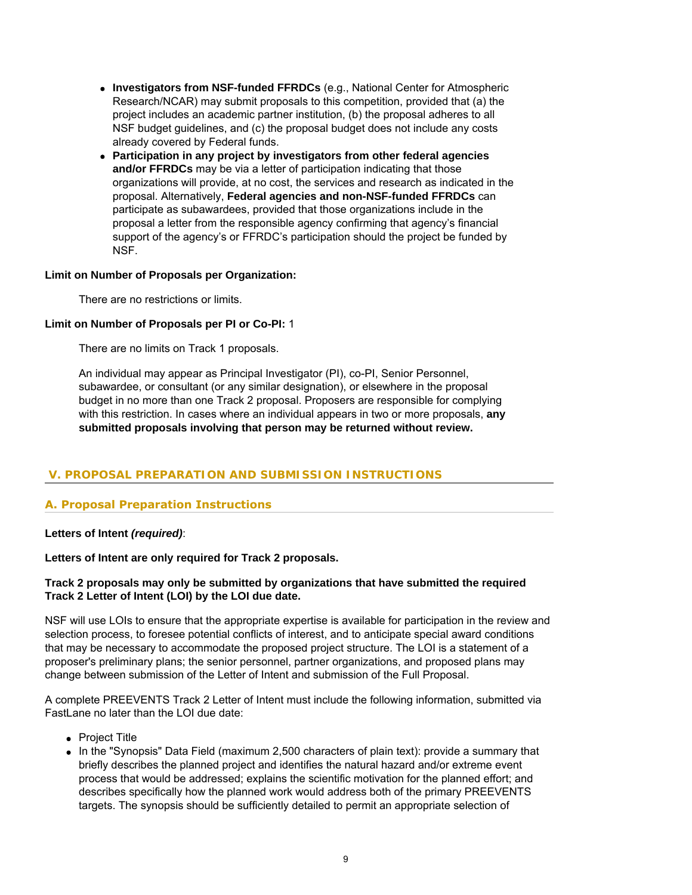- **Investigators from NSF-funded FFRDCs** (e.g., National Center for Atmospheric Research/NCAR) may submit proposals to this competition, provided that (a) the project includes an academic partner institution, (b) the proposal adheres to all NSF budget guidelines, and (c) the proposal budget does not include any costs already covered by Federal funds.
- **Participation in any project by investigators from other federal agencies and/or FFRDCs** may be via a letter of participation indicating that those organizations will provide, at no cost, the services and research as indicated in the proposal. Alternatively, **Federal agencies and non-NSF-funded FFRDCs** can participate as subawardees, provided that those organizations include in the proposal a letter from the responsible agency confirming that agency's financial support of the agency's or FFRDC's participation should the project be funded by NSF.

## **Limit on Number of Proposals per Organization:**

There are no restrictions or limits.

## **Limit on Number of Proposals per PI or Co-PI:** 1

There are no limits on Track 1 proposals.

An individual may appear as Principal Investigator (PI), co-PI, Senior Personnel, subawardee, or consultant (or any similar designation), or elsewhere in the proposal budget in no more than one Track 2 proposal. Proposers are responsible for complying with this restriction. In cases where an individual appears in two or more proposals, **any submitted proposals involving that person may be returned without review.**

## <span id="page-8-0"></span> **V. PROPOSAL PREPARATION AND SUBMISSION INSTRUCTIONS**

## **A. Proposal Preparation Instructions**

#### **Letters of Intent** *(required)*:

**Letters of Intent are only required for Track 2 proposals.**

## **Track 2 proposals may only be submitted by organizations that have submitted the required Track 2 Letter of Intent (LOI) by the LOI due date.**

NSF will use LOIs to ensure that the appropriate expertise is available for participation in the review and selection process, to foresee potential conflicts of interest, and to anticipate special award conditions that may be necessary to accommodate the proposed project structure. The LOI is a statement of a proposer's preliminary plans; the senior personnel, partner organizations, and proposed plans may change between submission of the Letter of Intent and submission of the Full Proposal.

A complete PREEVENTS Track 2 Letter of Intent must include the following information, submitted via FastLane no later than the LOI due date:

- Project Title
- In the "Synopsis" Data Field (maximum 2,500 characters of plain text): provide a summary that briefly describes the planned project and identifies the natural hazard and/or extreme event process that would be addressed; explains the scientific motivation for the planned effort; and describes specifically how the planned work would address both of the primary PREEVENTS targets. The synopsis should be sufficiently detailed to permit an appropriate selection of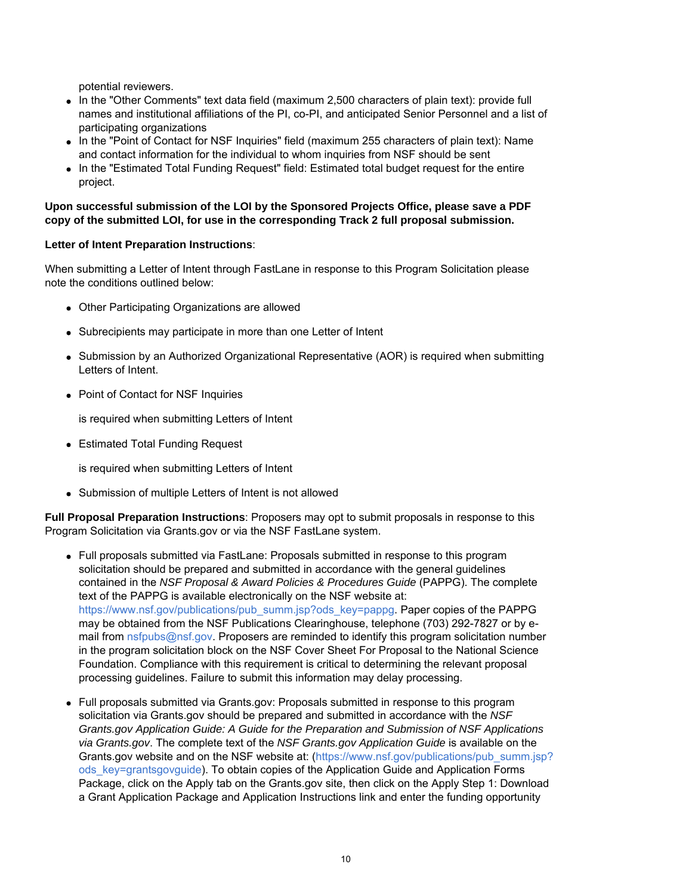potential reviewers.

- In the "Other Comments" text data field (maximum 2,500 characters of plain text): provide full names and institutional affiliations of the PI, co-PI, and anticipated Senior Personnel and a list of participating organizations
- In the "Point of Contact for NSF Inquiries" field (maximum 255 characters of plain text): Name and contact information for the individual to whom inquiries from NSF should be sent
- In the "Estimated Total Funding Request" field: Estimated total budget request for the entire project.

#### **Upon successful submission of the LOI by the Sponsored Projects Office, please save a PDF copy of the submitted LOI, for use in the corresponding Track 2 full proposal submission.**

## **Letter of Intent Preparation Instructions**:

When submitting a Letter of Intent through FastLane in response to this Program Solicitation please note the conditions outlined below:

- Other Participating Organizations are allowed
- Subrecipients may participate in more than one Letter of Intent
- Submission by an Authorized Organizational Representative (AOR) is required when submitting Letters of Intent.
- Point of Contact for NSF Inquiries

is required when submitting Letters of Intent

Estimated Total Funding Request

is required when submitting Letters of Intent

Submission of multiple Letters of Intent is not allowed

**Full Proposal Preparation Instructions**: Proposers may opt to submit proposals in response to this Program Solicitation via Grants.gov or via the NSF FastLane system.

- Full proposals submitted via FastLane: Proposals submitted in response to this program solicitation should be prepared and submitted in accordance with the general guidelines contained in the *NSF Proposal & Award Policies & Procedures Guide* (PAPPG). The complete text of the PAPPG is available electronically on the NSF website at: [https://www.nsf.gov/publications/pub\\_summ.jsp?ods\\_key=pappg](https://www.nsf.gov/publications/pub_summ.jsp?ods_key=pappg). Paper copies of the PAPPG may be obtained from the NSF Publications Clearinghouse, telephone (703) 292-7827 or by email from [nsfpubs@nsf.gov](mailto:nsfpubs@nsf.gov). Proposers are reminded to identify this program solicitation number in the program solicitation block on the NSF Cover Sheet For Proposal to the National Science Foundation. Compliance with this requirement is critical to determining the relevant proposal processing guidelines. Failure to submit this information may delay processing.
- Full proposals submitted via Grants.gov: Proposals submitted in response to this program solicitation via Grants.gov should be prepared and submitted in accordance with the *NSF Grants.gov Application Guide: A Guide for the Preparation and Submission of NSF Applications via Grants.gov*. The complete text of the *NSF Grants.gov Application Guide* is available on the Grants.gov website and on the NSF website at: [\(https://www.nsf.gov/publications/pub\\_summ.jsp?](https://www.nsf.gov/publications/pub_summ.jsp?ods_key=grantsgovguide)) [ods\\_key=grantsgovguide](https://www.nsf.gov/publications/pub_summ.jsp?ods_key=grantsgovguide)). To obtain copies of the Application Guide and Application Forms Package, click on the Apply tab on the Grants.gov site, then click on the Apply Step 1: Download a Grant Application Package and Application Instructions link and enter the funding opportunity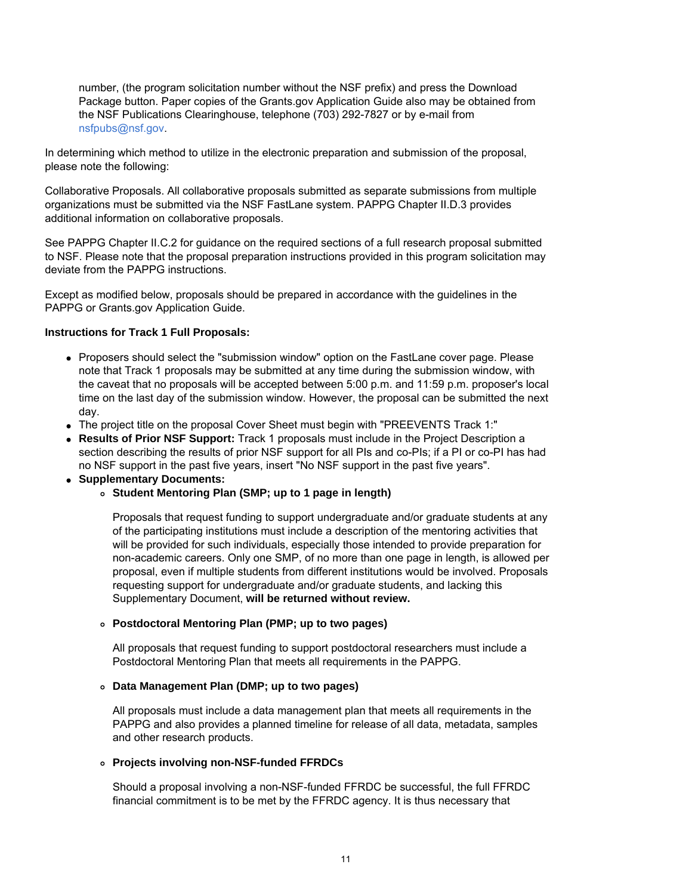number, (the program solicitation number without the NSF prefix) and press the Download Package button. Paper copies of the Grants.gov Application Guide also may be obtained from the NSF Publications Clearinghouse, telephone (703) 292-7827 or by e-mail from [nsfpubs@nsf.gov](mailto:nsfpubs@nsf.gov).

In determining which method to utilize in the electronic preparation and submission of the proposal, please note the following:

Collaborative Proposals. All collaborative proposals submitted as separate submissions from multiple organizations must be submitted via the NSF FastLane system. PAPPG Chapter II.D.3 provides additional information on collaborative proposals.

See PAPPG Chapter II.C.2 for guidance on the required sections of a full research proposal submitted to NSF. Please note that the proposal preparation instructions provided in this program solicitation may deviate from the PAPPG instructions.

Except as modified below, proposals should be prepared in accordance with the guidelines in the PAPPG or Grants.gov Application Guide.

## **Instructions for Track 1 Full Proposals:**

- Proposers should select the "submission window" option on the FastLane cover page. Please note that Track 1 proposals may be submitted at any time during the submission window, with the caveat that no proposals will be accepted between 5:00 p.m. and 11:59 p.m. proposer's local time on the last day of the submission window. However, the proposal can be submitted the next day.
- The project title on the proposal Cover Sheet must begin with "PREEVENTS Track 1:"
- **Results of Prior NSF Support:** Track 1 proposals must include in the Project Description a section describing the results of prior NSF support for all PIs and co-PIs; if a PI or co-PI has had no NSF support in the past five years, insert "No NSF support in the past five years".
- **Supplementary Documents:**

#### **Student Mentoring Plan (SMP; up to 1 page in length)**

Proposals that request funding to support undergraduate and/or graduate students at any of the participating institutions must include a description of the mentoring activities that will be provided for such individuals, especially those intended to provide preparation for non-academic careers. Only one SMP, of no more than one page in length, is allowed per proposal, even if multiple students from different institutions would be involved. Proposals requesting support for undergraduate and/or graduate students, and lacking this Supplementary Document, **will be returned without review.**

#### **Postdoctoral Mentoring Plan (PMP; up to two pages)**

All proposals that request funding to support postdoctoral researchers must include a Postdoctoral Mentoring Plan that meets all requirements in the PAPPG.

#### **Data Management Plan (DMP; up to two pages)**

All proposals must include a data management plan that meets all requirements in the PAPPG and also provides a planned timeline for release of all data, metadata, samples and other research products.

#### **Projects involving non-NSF-funded FFRDCs**

Should a proposal involving a non-NSF-funded FFRDC be successful, the full FFRDC financial commitment is to be met by the FFRDC agency. It is thus necessary that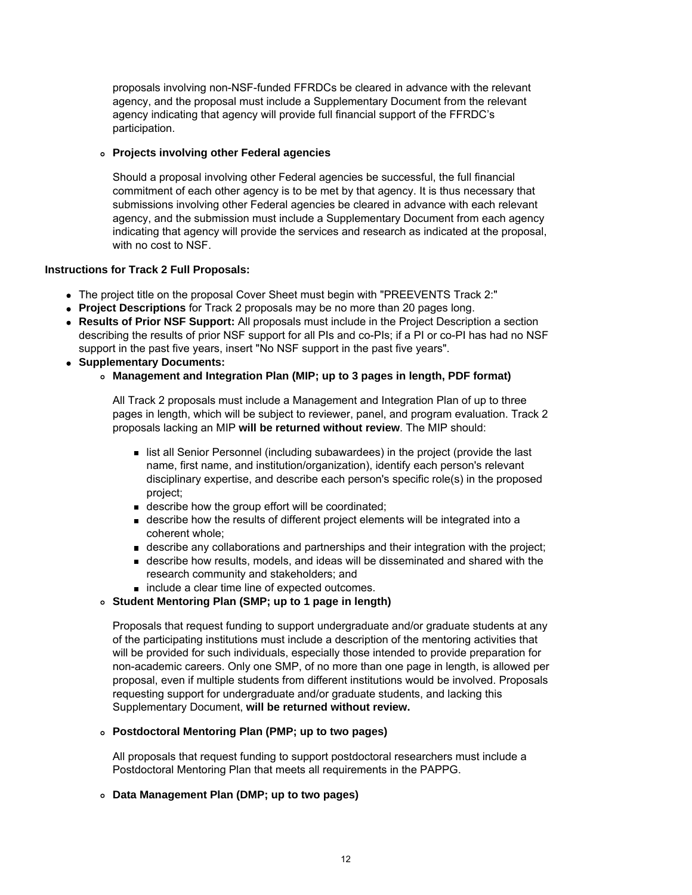proposals involving non-NSF-funded FFRDCs be cleared in advance with the relevant agency, and the proposal must include a Supplementary Document from the relevant agency indicating that agency will provide full financial support of the FFRDC's participation.

#### **Projects involving other Federal agencies**

Should a proposal involving other Federal agencies be successful, the full financial commitment of each other agency is to be met by that agency. It is thus necessary that submissions involving other Federal agencies be cleared in advance with each relevant agency, and the submission must include a Supplementary Document from each agency indicating that agency will provide the services and research as indicated at the proposal, with no cost to NSF.

## **Instructions for Track 2 Full Proposals:**

- The project title on the proposal Cover Sheet must begin with "PREEVENTS Track 2:"
- **Project Descriptions** for Track 2 proposals may be no more than 20 pages long.
- **Results of Prior NSF Support:** All proposals must include in the Project Description a section describing the results of prior NSF support for all PIs and co-PIs; if a PI or co-PI has had no NSF support in the past five years, insert "No NSF support in the past five years".
- **Supplementary Documents:**
	- **Management and Integration Plan (MIP; up to 3 pages in length, PDF format)**

All Track 2 proposals must include a Management and Integration Plan of up to three pages in length, which will be subject to reviewer, panel, and program evaluation. Track 2 proposals lacking an MIP **will be returned without review**. The MIP should:

- **I** list all Senior Personnel (including subawardees) in the project (provide the last name, first name, and institution/organization), identify each person's relevant disciplinary expertise, and describe each person's specific role(s) in the proposed project;
- e describe how the group effort will be coordinated;
- **describe how the results of different project elements will be integrated into a** coherent whole;
- **describe any collaborations and partnerships and their integration with the project;**
- describe how results, models, and ideas will be disseminated and shared with the research community and stakeholders; and
- ninclude a clear time line of expected outcomes.

#### **Student Mentoring Plan (SMP; up to 1 page in length)**

Proposals that request funding to support undergraduate and/or graduate students at any of the participating institutions must include a description of the mentoring activities that will be provided for such individuals, especially those intended to provide preparation for non-academic careers. Only one SMP, of no more than one page in length, is allowed per proposal, even if multiple students from different institutions would be involved. Proposals requesting support for undergraduate and/or graduate students, and lacking this Supplementary Document, **will be returned without review.**

#### **Postdoctoral Mentoring Plan (PMP; up to two pages)**

All proposals that request funding to support postdoctoral researchers must include a Postdoctoral Mentoring Plan that meets all requirements in the PAPPG.

#### **Data Management Plan (DMP; up to two pages)**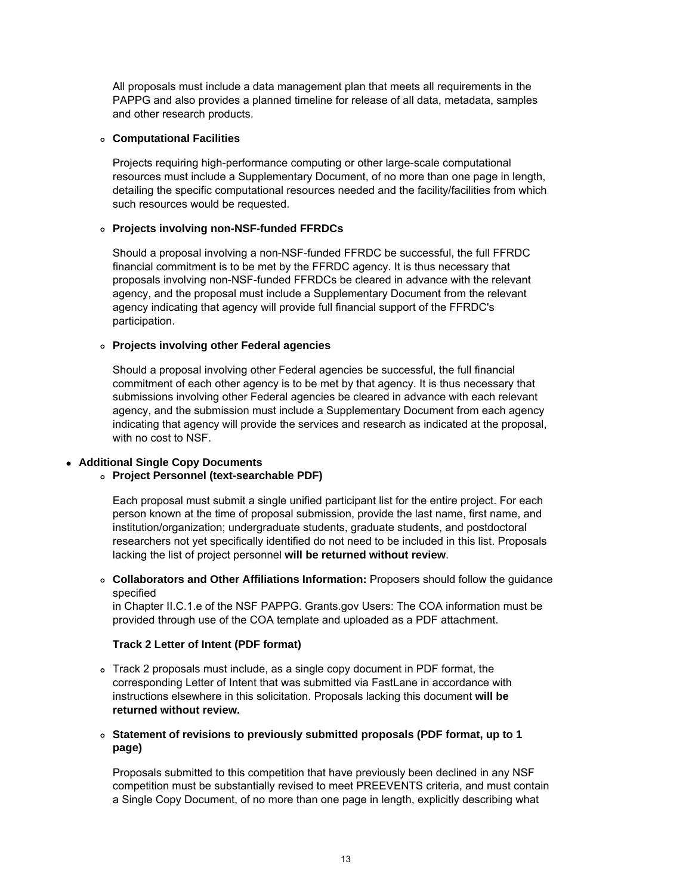All proposals must include a data management plan that meets all requirements in the PAPPG and also provides a planned timeline for release of all data, metadata, samples and other research products.

#### **Computational Facilities**

Projects requiring high-performance computing or other large-scale computational resources must include a Supplementary Document, of no more than one page in length, detailing the specific computational resources needed and the facility/facilities from which such resources would be requested.

## **Projects involving non-NSF-funded FFRDCs**

Should a proposal involving a non-NSF-funded FFRDC be successful, the full FFRDC financial commitment is to be met by the FFRDC agency. It is thus necessary that proposals involving non-NSF-funded FFRDCs be cleared in advance with the relevant agency, and the proposal must include a Supplementary Document from the relevant agency indicating that agency will provide full financial support of the FFRDC's participation.

## **Projects involving other Federal agencies**

Should a proposal involving other Federal agencies be successful, the full financial commitment of each other agency is to be met by that agency. It is thus necessary that submissions involving other Federal agencies be cleared in advance with each relevant agency, and the submission must include a Supplementary Document from each agency indicating that agency will provide the services and research as indicated at the proposal, with no cost to NSF.

## **Additional Single Copy Documents**

## **Project Personnel (text-searchable PDF)**

Each proposal must submit a single unified participant list for the entire project. For each person known at the time of proposal submission, provide the last name, first name, and institution/organization; undergraduate students, graduate students, and postdoctoral researchers not yet specifically identified do not need to be included in this list. Proposals lacking the list of project personnel **will be returned without review**.

**Collaborators and Other Affiliations Information:** Proposers should follow the guidance specified

in Chapter II.C.1.e of the NSF PAPPG. Grants.gov Users: The COA information must be provided through use of the COA template and uploaded as a PDF attachment.

## **Track 2 Letter of Intent (PDF format)**

- Track 2 proposals must include, as a single copy document in PDF format, the corresponding Letter of Intent that was submitted via FastLane in accordance with instructions elsewhere in this solicitation. Proposals lacking this document **will be returned without review.**
- **Statement of revisions to previously submitted proposals (PDF format, up to 1 page)**

Proposals submitted to this competition that have previously been declined in any NSF competition must be substantially revised to meet PREEVENTS criteria, and must contain a Single Copy Document, of no more than one page in length, explicitly describing what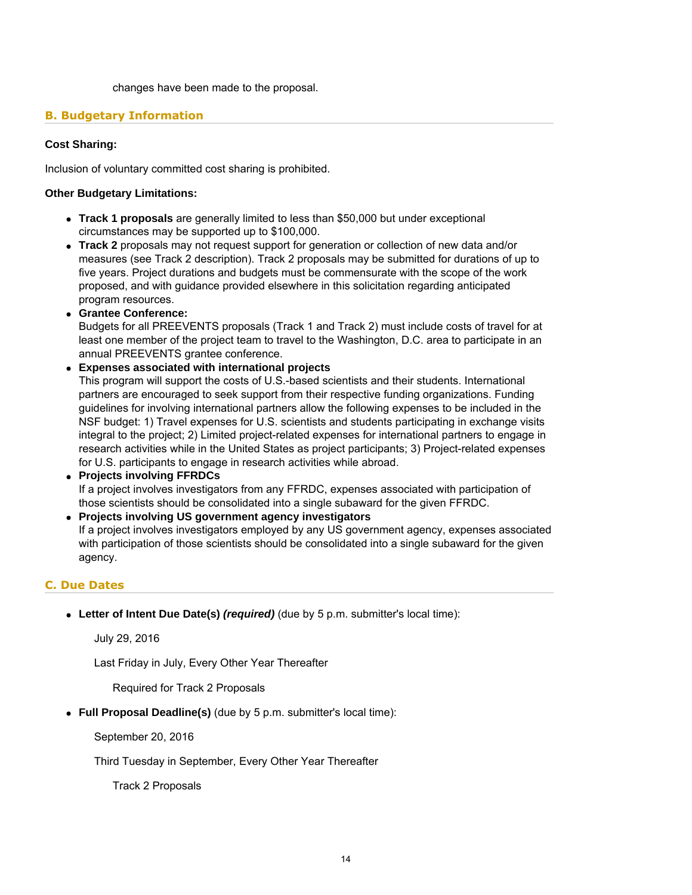changes have been made to the proposal.

## <span id="page-13-0"></span>**B. Budgetary Information**

#### **Cost Sharing:**

Inclusion of voluntary committed cost sharing is prohibited.

## **Other Budgetary Limitations:**

- **Track 1 proposals** are generally limited to less than \$50,000 but under exceptional circumstances may be supported up to \$100,000.
- **Track 2** proposals may not request support for generation or collection of new data and/or measures (see Track 2 description). Track 2 proposals may be submitted for durations of up to five years. Project durations and budgets must be commensurate with the scope of the work proposed, and with guidance provided elsewhere in this solicitation regarding anticipated program resources.
- **Grantee Conference:**

Budgets for all PREEVENTS proposals (Track 1 and Track 2) must include costs of travel for at least one member of the project team to travel to the Washington, D.C. area to participate in an annual PREEVENTS grantee conference.

**Expenses associated with international projects**

This program will support the costs of U.S.-based scientists and their students. International partners are encouraged to seek support from their respective funding organizations. Funding guidelines for involving international partners allow the following expenses to be included in the NSF budget: 1) Travel expenses for U.S. scientists and students participating in exchange visits integral to the project; 2) Limited project-related expenses for international partners to engage in research activities while in the United States as project participants; 3) Project-related expenses for U.S. participants to engage in research activities while abroad.

## **Projects involving FFRDCs** If a project involves investigators from any FFRDC, expenses associated with participation of those scientists should be consolidated into a single subaward for the given FFRDC.

## **Projects involving US government agency investigators**

If a project involves investigators employed by any US government agency, expenses associated with participation of those scientists should be consolidated into a single subaward for the given agency.

## <span id="page-13-1"></span>**C. Due Dates**

**Letter of Intent Due Date(s)** *(required)* (due by 5 p.m. submitter's local time):

July 29, 2016

Last Friday in July, Every Other Year Thereafter

Required for Track 2 Proposals

**Full Proposal Deadline(s)** (due by 5 p.m. submitter's local time):

September 20, 2016

Third Tuesday in September, Every Other Year Thereafter

Track 2 Proposals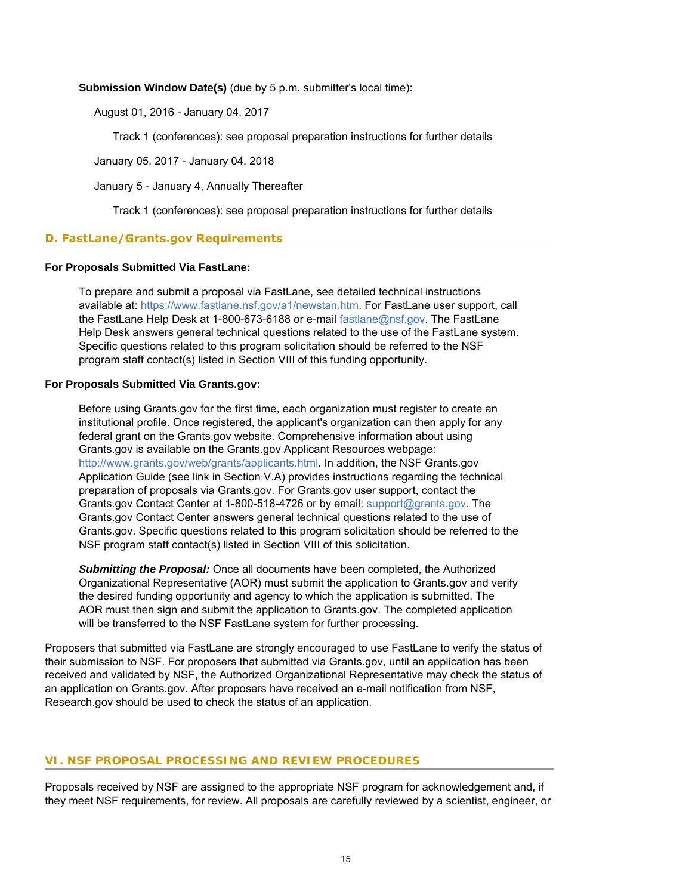**Submission Window Date(s)** (due by 5 p.m. submitter's local time):

August 01, 2016 - January 04, 2017

Track 1 (conferences): see proposal preparation instructions for further details

January 05, 2017 - January 04, 2018

January 5 - January 4, Annually Thereafter

Track 1 (conferences): see proposal preparation instructions for further details

## <span id="page-14-0"></span>**D. FastLane/Grants.gov Requirements**

#### **For Proposals Submitted Via FastLane:**

To prepare and submit a proposal via FastLane, see detailed technical instructions available at:<https://www.fastlane.nsf.gov/a1/newstan.htm>. For FastLane user support, call the FastLane Help Desk at 1-800-673-6188 or e-mail [fastlane@nsf.gov](mailto:fastlane@nsf.gov). The FastLane Help Desk answers general technical questions related to the use of the FastLane system. Specific questions related to this program solicitation should be referred to the NSF program staff contact(s) listed in Section VIII of this funding opportunity.

#### **For Proposals Submitted Via Grants.gov:**

Before using Grants.gov for the first time, each organization must register to create an institutional profile. Once registered, the applicant's organization can then apply for any federal grant on the Grants.gov website. Comprehensive information about using Grants.gov is available on the Grants.gov Applicant Resources webpage: [http://www.grants.gov/web/grants/applicants.html.](http://www.grants.gov/web/grants/applicants.html) In addition, the NSF Grants.gov Application Guide (see link in Section V.A) provides instructions regarding the technical preparation of proposals via Grants.gov. For Grants.gov user support, contact the Grants.gov Contact Center at 1-800-518-4726 or by email: [support@grants.gov](mailto:support@grants.gov). The Grants.gov Contact Center answers general technical questions related to the use of Grants.gov. Specific questions related to this program solicitation should be referred to the NSF program staff contact(s) listed in Section VIII of this solicitation.

*Submitting the Proposal:* Once all documents have been completed, the Authorized Organizational Representative (AOR) must submit the application to Grants.gov and verify the desired funding opportunity and agency to which the application is submitted. The AOR must then sign and submit the application to Grants.gov. The completed application will be transferred to the NSF FastLane system for further processing.

Proposers that submitted via FastLane are strongly encouraged to use FastLane to verify the status of their submission to NSF. For proposers that submitted via Grants.gov, until an application has been received and validated by NSF, the Authorized Organizational Representative may check the status of an application on Grants.gov. After proposers have received an e-mail notification from NSF, Research.gov should be used to check the status of an application.

#### <span id="page-14-1"></span>**VI. NSF PROPOSAL PROCESSING AND REVIEW PROCEDURES**

Proposals received by NSF are assigned to the appropriate NSF program for acknowledgement and, if they meet NSF requirements, for review. All proposals are carefully reviewed by a scientist, engineer, or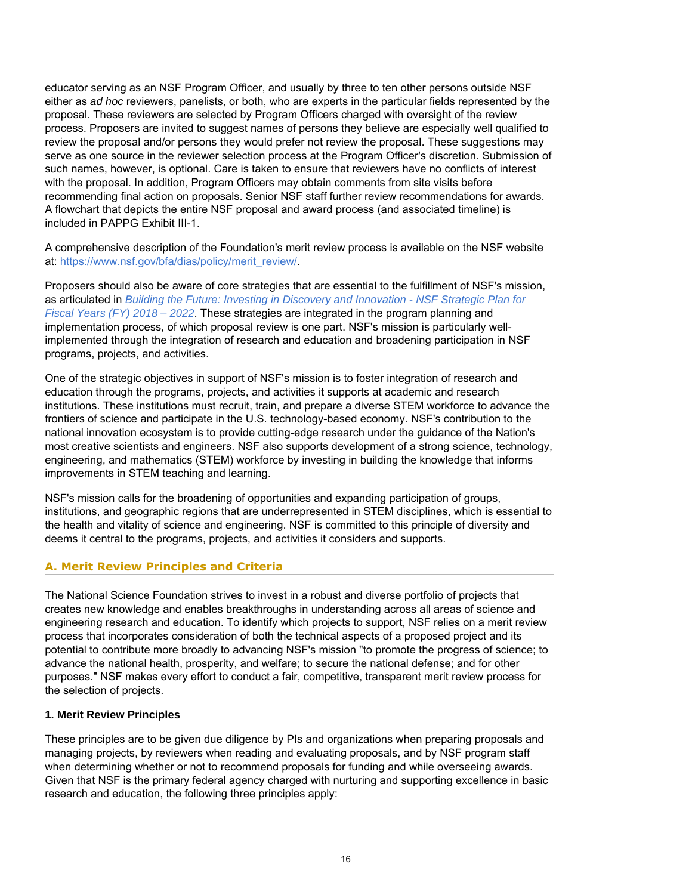educator serving as an NSF Program Officer, and usually by three to ten other persons outside NSF either as *ad hoc* reviewers, panelists, or both, who are experts in the particular fields represented by the proposal. These reviewers are selected by Program Officers charged with oversight of the review process. Proposers are invited to suggest names of persons they believe are especially well qualified to review the proposal and/or persons they would prefer not review the proposal. These suggestions may serve as one source in the reviewer selection process at the Program Officer's discretion. Submission of such names, however, is optional. Care is taken to ensure that reviewers have no conflicts of interest with the proposal. In addition, Program Officers may obtain comments from site visits before recommending final action on proposals. Senior NSF staff further review recommendations for awards. A flowchart that depicts the entire NSF proposal and award process (and associated timeline) is included in PAPPG Exhibit III-1.

A comprehensive description of the Foundation's merit review process is available on the NSF website at: [https://www.nsf.gov/bfa/dias/policy/merit\\_review/](https://www.nsf.gov/bfa/dias/policy/merit_review/).

Proposers should also be aware of core strategies that are essential to the fulfillment of NSF's mission, as articulated in *[Building the Future: Investing in Discovery and Innovation - NSF Strategic Plan for](https://www.nsf.gov/publications/pub_summ.jsp?ods_key=nsf18045&org=NSF) [Fiscal Years \(FY\) 2018 – 2022](https://www.nsf.gov/publications/pub_summ.jsp?ods_key=nsf18045&org=NSF)*. These strategies are integrated in the program planning and implementation process, of which proposal review is one part. NSF's mission is particularly wellimplemented through the integration of research and education and broadening participation in NSF programs, projects, and activities.

One of the strategic objectives in support of NSF's mission is to foster integration of research and education through the programs, projects, and activities it supports at academic and research institutions. These institutions must recruit, train, and prepare a diverse STEM workforce to advance the frontiers of science and participate in the U.S. technology-based economy. NSF's contribution to the national innovation ecosystem is to provide cutting-edge research under the guidance of the Nation's most creative scientists and engineers. NSF also supports development of a strong science, technology, engineering, and mathematics (STEM) workforce by investing in building the knowledge that informs improvements in STEM teaching and learning.

NSF's mission calls for the broadening of opportunities and expanding participation of groups, institutions, and geographic regions that are underrepresented in STEM disciplines, which is essential to the health and vitality of science and engineering. NSF is committed to this principle of diversity and deems it central to the programs, projects, and activities it considers and supports.

#### <span id="page-15-0"></span>**A. Merit Review Principles and Criteria**

The National Science Foundation strives to invest in a robust and diverse portfolio of projects that creates new knowledge and enables breakthroughs in understanding across all areas of science and engineering research and education. To identify which projects to support, NSF relies on a merit review process that incorporates consideration of both the technical aspects of a proposed project and its potential to contribute more broadly to advancing NSF's mission "to promote the progress of science; to advance the national health, prosperity, and welfare; to secure the national defense; and for other purposes." NSF makes every effort to conduct a fair, competitive, transparent merit review process for the selection of projects.

#### **1. Merit Review Principles**

These principles are to be given due diligence by PIs and organizations when preparing proposals and managing projects, by reviewers when reading and evaluating proposals, and by NSF program staff when determining whether or not to recommend proposals for funding and while overseeing awards. Given that NSF is the primary federal agency charged with nurturing and supporting excellence in basic research and education, the following three principles apply: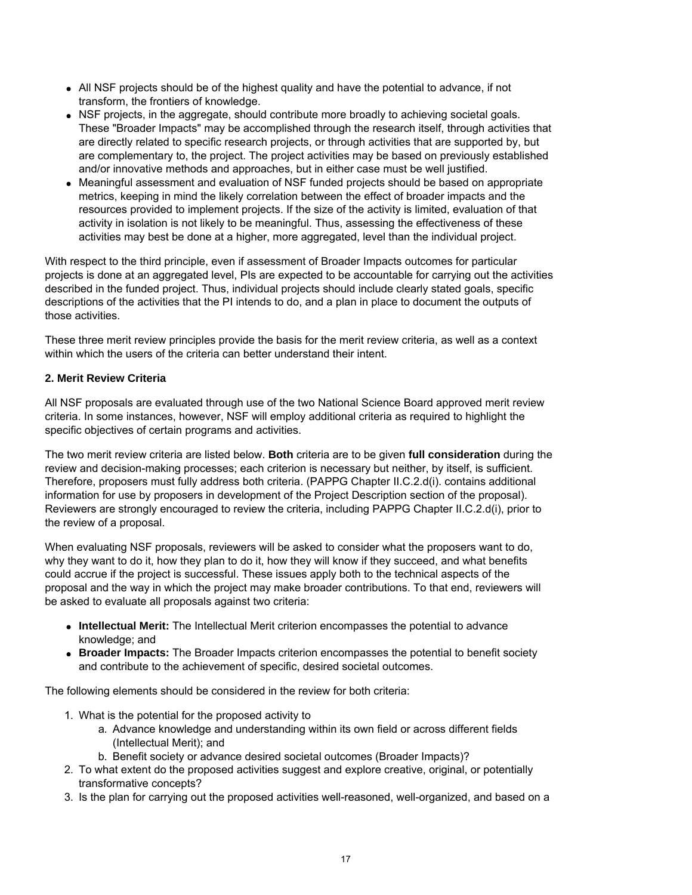- All NSF projects should be of the highest quality and have the potential to advance, if not transform, the frontiers of knowledge.
- NSF projects, in the aggregate, should contribute more broadly to achieving societal goals. These "Broader Impacts" may be accomplished through the research itself, through activities that are directly related to specific research projects, or through activities that are supported by, but are complementary to, the project. The project activities may be based on previously established and/or innovative methods and approaches, but in either case must be well justified.
- Meaningful assessment and evaluation of NSF funded projects should be based on appropriate metrics, keeping in mind the likely correlation between the effect of broader impacts and the resources provided to implement projects. If the size of the activity is limited, evaluation of that activity in isolation is not likely to be meaningful. Thus, assessing the effectiveness of these activities may best be done at a higher, more aggregated, level than the individual project.

With respect to the third principle, even if assessment of Broader Impacts outcomes for particular projects is done at an aggregated level, PIs are expected to be accountable for carrying out the activities described in the funded project. Thus, individual projects should include clearly stated goals, specific descriptions of the activities that the PI intends to do, and a plan in place to document the outputs of those activities.

These three merit review principles provide the basis for the merit review criteria, as well as a context within which the users of the criteria can better understand their intent.

## **2. Merit Review Criteria**

All NSF proposals are evaluated through use of the two National Science Board approved merit review criteria. In some instances, however, NSF will employ additional criteria as required to highlight the specific objectives of certain programs and activities.

The two merit review criteria are listed below. **Both** criteria are to be given **full consideration** during the review and decision-making processes; each criterion is necessary but neither, by itself, is sufficient. Therefore, proposers must fully address both criteria. (PAPPG Chapter II.C.2.d(i). contains additional information for use by proposers in development of the Project Description section of the proposal). Reviewers are strongly encouraged to review the criteria, including PAPPG Chapter II.C.2.d(i), prior to the review of a proposal.

When evaluating NSF proposals, reviewers will be asked to consider what the proposers want to do, why they want to do it, how they plan to do it, how they will know if they succeed, and what benefits could accrue if the project is successful. These issues apply both to the technical aspects of the proposal and the way in which the project may make broader contributions. To that end, reviewers will be asked to evaluate all proposals against two criteria:

- **Intellectual Merit:** The Intellectual Merit criterion encompasses the potential to advance knowledge; and
- **Broader Impacts:** The Broader Impacts criterion encompasses the potential to benefit society and contribute to the achievement of specific, desired societal outcomes.

The following elements should be considered in the review for both criteria:

- 1. What is the potential for the proposed activity to
	- a. Advance knowledge and understanding within its own field or across different fields (Intellectual Merit); and
	- b. Benefit society or advance desired societal outcomes (Broader Impacts)?
- 2. To what extent do the proposed activities suggest and explore creative, original, or potentially transformative concepts?
- 3. Is the plan for carrying out the proposed activities well-reasoned, well-organized, and based on a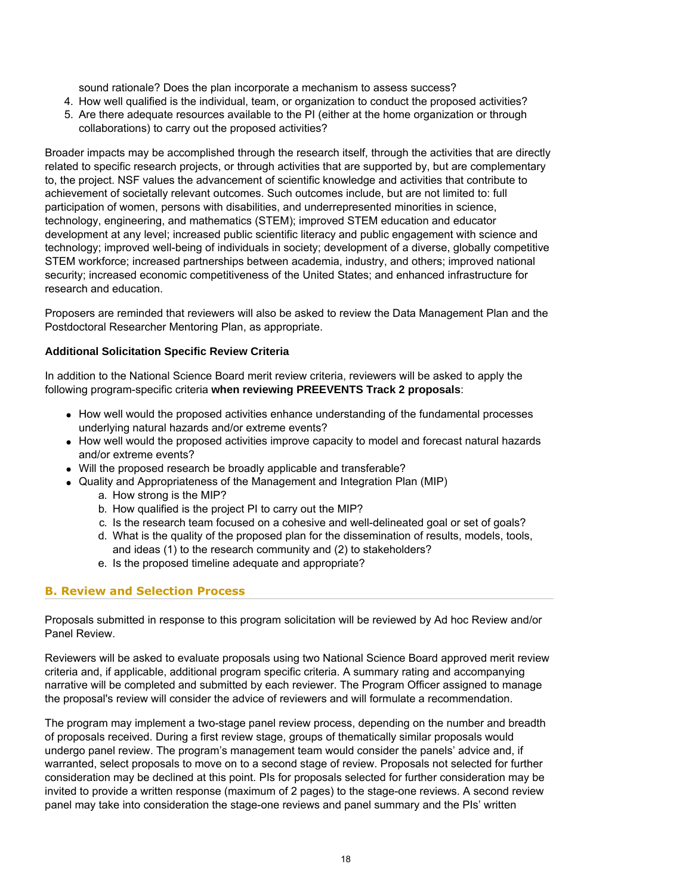sound rationale? Does the plan incorporate a mechanism to assess success?

- 4. How well qualified is the individual, team, or organization to conduct the proposed activities?
- 5. Are there adequate resources available to the PI (either at the home organization or through collaborations) to carry out the proposed activities?

Broader impacts may be accomplished through the research itself, through the activities that are directly related to specific research projects, or through activities that are supported by, but are complementary to, the project. NSF values the advancement of scientific knowledge and activities that contribute to achievement of societally relevant outcomes. Such outcomes include, but are not limited to: full participation of women, persons with disabilities, and underrepresented minorities in science, technology, engineering, and mathematics (STEM); improved STEM education and educator development at any level; increased public scientific literacy and public engagement with science and technology; improved well-being of individuals in society; development of a diverse, globally competitive STEM workforce; increased partnerships between academia, industry, and others; improved national security; increased economic competitiveness of the United States; and enhanced infrastructure for research and education.

Proposers are reminded that reviewers will also be asked to review the Data Management Plan and the Postdoctoral Researcher Mentoring Plan, as appropriate.

## **Additional Solicitation Specific Review Criteria**

In addition to the National Science Board merit review criteria, reviewers will be asked to apply the following program-specific criteria **when reviewing PREEVENTS Track 2 proposals**:

- How well would the proposed activities enhance understanding of the fundamental processes underlying natural hazards and/or extreme events?
- How well would the proposed activities improve capacity to model and forecast natural hazards and/or extreme events?
- Will the proposed research be broadly applicable and transferable?
- Quality and Appropriateness of the Management and Integration Plan (MIP)
	- a. How strong is the MIP?
	- b. How qualified is the project PI to carry out the MIP?
	- c. Is the research team focused on a cohesive and well-delineated goal or set of goals?
	- d. What is the quality of the proposed plan for the dissemination of results, models, tools, and ideas (1) to the research community and (2) to stakeholders?
	- e. Is the proposed timeline adequate and appropriate?

## <span id="page-17-0"></span>**B. Review and Selection Process**

Proposals submitted in response to this program solicitation will be reviewed by Ad hoc Review and/or Panel Review.

Reviewers will be asked to evaluate proposals using two National Science Board approved merit review criteria and, if applicable, additional program specific criteria. A summary rating and accompanying narrative will be completed and submitted by each reviewer. The Program Officer assigned to manage the proposal's review will consider the advice of reviewers and will formulate a recommendation.

The program may implement a two-stage panel review process, depending on the number and breadth of proposals received. During a first review stage, groups of thematically similar proposals would undergo panel review. The program's management team would consider the panels' advice and, if warranted, select proposals to move on to a second stage of review. Proposals not selected for further consideration may be declined at this point. PIs for proposals selected for further consideration may be invited to provide a written response (maximum of 2 pages) to the stage-one reviews. A second review panel may take into consideration the stage-one reviews and panel summary and the PIs' written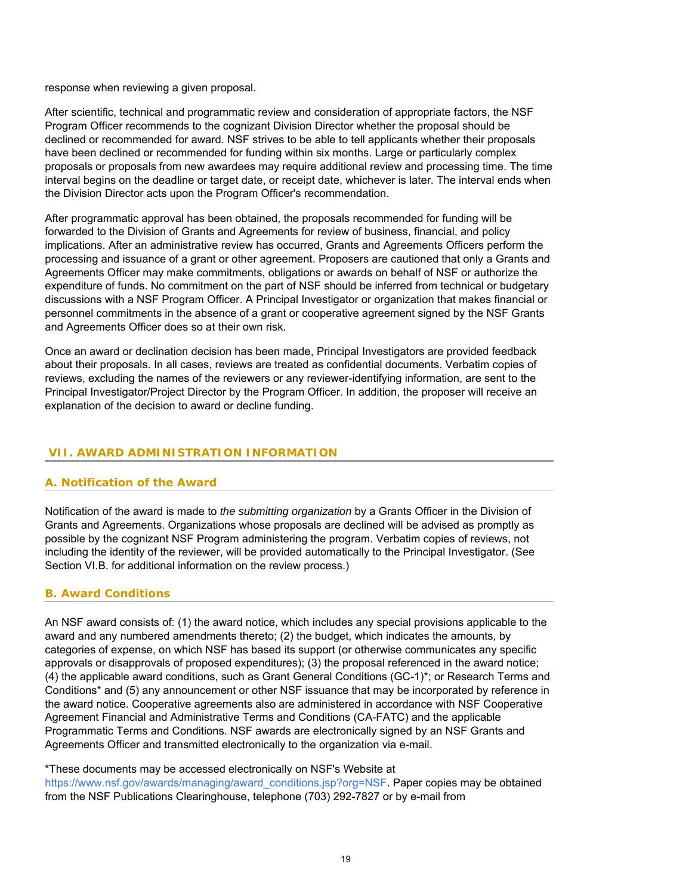response when reviewing a given proposal.

After scientific, technical and programmatic review and consideration of appropriate factors, the NSF Program Officer recommends to the cognizant Division Director whether the proposal should be declined or recommended for award. NSF strives to be able to tell applicants whether their proposals have been declined or recommended for funding within six months. Large or particularly complex proposals or proposals from new awardees may require additional review and processing time. The time interval begins on the deadline or target date, or receipt date, whichever is later. The interval ends when the Division Director acts upon the Program Officer's recommendation.

After programmatic approval has been obtained, the proposals recommended for funding will be forwarded to the Division of Grants and Agreements for review of business, financial, and policy implications. After an administrative review has occurred, Grants and Agreements Officers perform the processing and issuance of a grant or other agreement. Proposers are cautioned that only a Grants and Agreements Officer may make commitments, obligations or awards on behalf of NSF or authorize the expenditure of funds. No commitment on the part of NSF should be inferred from technical or budgetary discussions with a NSF Program Officer. A Principal Investigator or organization that makes financial or personnel commitments in the absence of a grant or cooperative agreement signed by the NSF Grants and Agreements Officer does so at their own risk.

Once an award or declination decision has been made, Principal Investigators are provided feedback about their proposals. In all cases, reviews are treated as confidential documents. Verbatim copies of reviews, excluding the names of the reviewers or any reviewer-identifying information, are sent to the Principal Investigator/Project Director by the Program Officer. In addition, the proposer will receive an explanation of the decision to award or decline funding.

## <span id="page-18-0"></span>**VII. AWARD ADMINISTRATION INFORMATION**

## <span id="page-18-1"></span>**A. Notification of the Award**

Notification of the award is made to *the submitting organization* by a Grants Officer in the Division of Grants and Agreements. Organizations whose proposals are declined will be advised as promptly as possible by the cognizant NSF Program administering the program. Verbatim copies of reviews, not including the identity of the reviewer, will be provided automatically to the Principal Investigator. (See Section VI.B. for additional information on the review process.)

## <span id="page-18-2"></span>**B. Award Conditions**

An NSF award consists of: (1) the award notice, which includes any special provisions applicable to the award and any numbered amendments thereto; (2) the budget, which indicates the amounts, by categories of expense, on which NSF has based its support (or otherwise communicates any specific approvals or disapprovals of proposed expenditures); (3) the proposal referenced in the award notice; (4) the applicable award conditions, such as Grant General Conditions (GC-1)\*; or Research Terms and Conditions\* and (5) any announcement or other NSF issuance that may be incorporated by reference in the award notice. Cooperative agreements also are administered in accordance with NSF Cooperative Agreement Financial and Administrative Terms and Conditions (CA-FATC) and the applicable Programmatic Terms and Conditions. NSF awards are electronically signed by an NSF Grants and Agreements Officer and transmitted electronically to the organization via e-mail.

\*These documents may be accessed electronically on NSF's Website at [https://www.nsf.gov/awards/managing/award\\_conditions.jsp?org=NSF](https://www.nsf.gov/awards/managing/award_conditions.jsp?org=NSF). Paper copies may be obtained from the NSF Publications Clearinghouse, telephone (703) 292-7827 or by e-mail from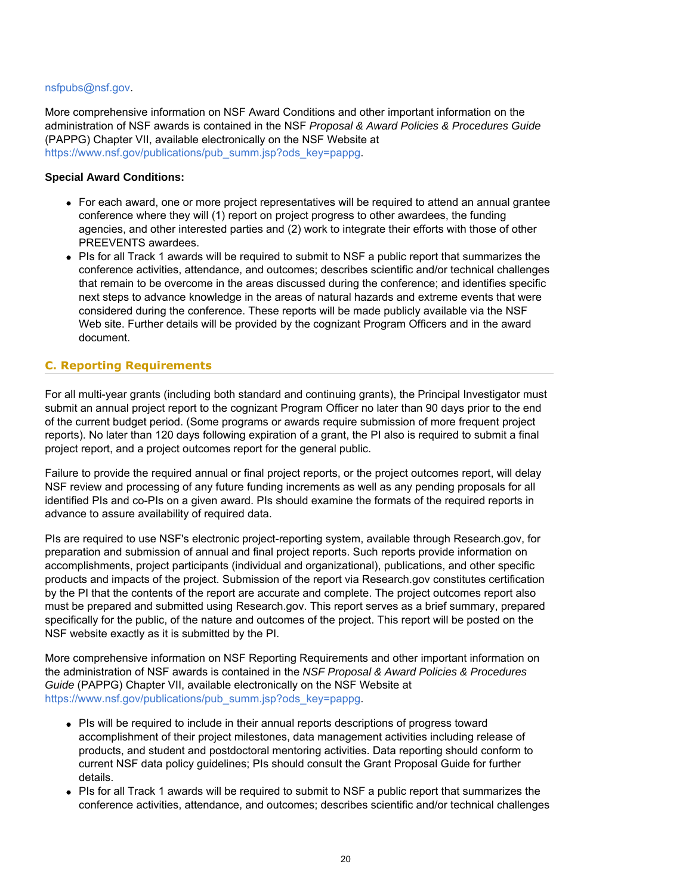#### [nsfpubs@nsf.gov](mailto:nsfpubs@nsf.gov).

More comprehensive information on NSF Award Conditions and other important information on the administration of NSF awards is contained in the NSF *Proposal & Award Policies & Procedures Guide* (PAPPG) Chapter VII, available electronically on the NSF Website at [https://www.nsf.gov/publications/pub\\_summ.jsp?ods\\_key=pappg](https://www.nsf.gov/publications/pub_summ.jsp?ods_key=pappg).

#### **Special Award Conditions:**

- For each award, one or more project representatives will be required to attend an annual grantee conference where they will (1) report on project progress to other awardees, the funding agencies, and other interested parties and (2) work to integrate their efforts with those of other PREEVENTS awardees.
- PIs for all Track 1 awards will be required to submit to NSF a public report that summarizes the conference activities, attendance, and outcomes; describes scientific and/or technical challenges that remain to be overcome in the areas discussed during the conference; and identifies specific next steps to advance knowledge in the areas of natural hazards and extreme events that were considered during the conference. These reports will be made publicly available via the NSF Web site. Further details will be provided by the cognizant Program Officers and in the award document.

#### <span id="page-19-0"></span>**C. Reporting Requirements**

For all multi-year grants (including both standard and continuing grants), the Principal Investigator must submit an annual project report to the cognizant Program Officer no later than 90 days prior to the end of the current budget period. (Some programs or awards require submission of more frequent project reports). No later than 120 days following expiration of a grant, the PI also is required to submit a final project report, and a project outcomes report for the general public.

Failure to provide the required annual or final project reports, or the project outcomes report, will delay NSF review and processing of any future funding increments as well as any pending proposals for all identified PIs and co-PIs on a given award. PIs should examine the formats of the required reports in advance to assure availability of required data.

PIs are required to use NSF's electronic project-reporting system, available through Research.gov, for preparation and submission of annual and final project reports. Such reports provide information on accomplishments, project participants (individual and organizational), publications, and other specific products and impacts of the project. Submission of the report via Research.gov constitutes certification by the PI that the contents of the report are accurate and complete. The project outcomes report also must be prepared and submitted using Research.gov. This report serves as a brief summary, prepared specifically for the public, of the nature and outcomes of the project. This report will be posted on the NSF website exactly as it is submitted by the PI.

More comprehensive information on NSF Reporting Requirements and other important information on the administration of NSF awards is contained in the *NSF Proposal & Award Policies & Procedures Guide* (PAPPG) Chapter VII, available electronically on the NSF Website at [https://www.nsf.gov/publications/pub\\_summ.jsp?ods\\_key=pappg](https://www.nsf.gov/publications/pub_summ.jsp?ods_key=pappg).

- PIs will be required to include in their annual reports descriptions of progress toward accomplishment of their project milestones, data management activities including release of products, and student and postdoctoral mentoring activities. Data reporting should conform to current NSF data policy guidelines; PIs should consult the Grant Proposal Guide for further details.
- PIs for all Track 1 awards will be required to submit to NSF a public report that summarizes the conference activities, attendance, and outcomes; describes scientific and/or technical challenges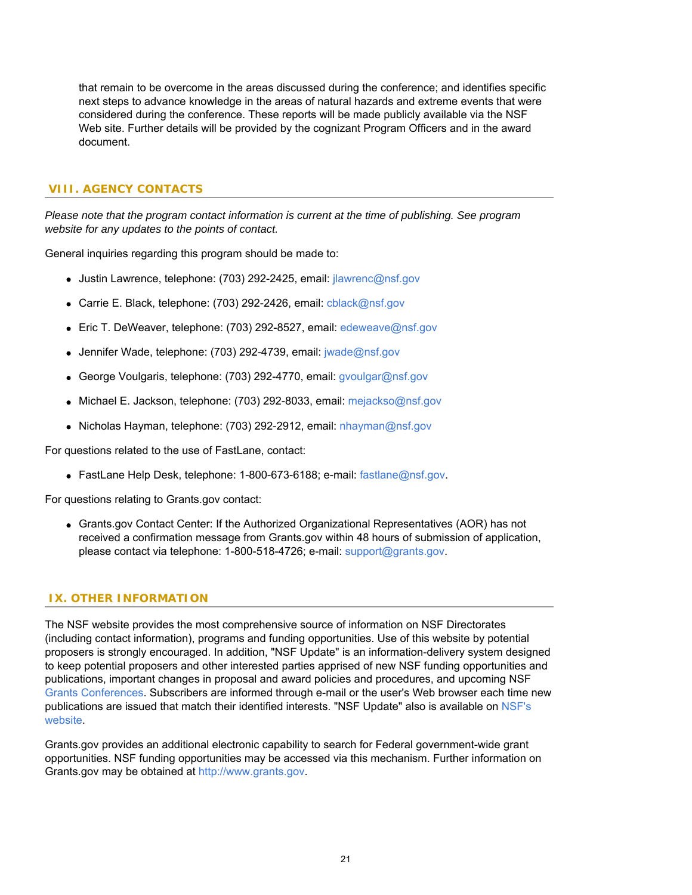that remain to be overcome in the areas discussed during the conference; and identifies specific next steps to advance knowledge in the areas of natural hazards and extreme events that were considered during the conference. These reports will be made publicly available via the NSF Web site. Further details will be provided by the cognizant Program Officers and in the award document.

## <span id="page-20-0"></span> **VIII. AGENCY CONTACTS**

*Please note that the program contact information is current at the time of publishing. See program website for any updates to the points of contact.*

General inquiries regarding this program should be made to:

- Justin Lawrence, telephone: (703) 292-2425, email: [jlawrenc@nsf.gov](mailto:jlawrenc@nsf.gov)
- Carrie E. Black, telephone: (703) 292-2426, email: chlack@nsf.gov
- Eric T. DeWeaver, telephone:  $(703)$  292-8527, email: [edeweave@nsf.gov](mailto:edeweave@nsf.gov)
- $\bullet$  Jennifer Wade, telephone: (703) 292-4739, email: [jwade@nsf.gov](mailto:jwade@nsf.gov)
- George Voulgaris, telephone: (703) 292-4770, email: [gvoulgar@nsf.gov](mailto:gvoulgar@nsf.gov)
- Michael E. Jackson, telephone: (703) 292-8033, email: [mejackso@nsf.gov](mailto:mejackso@nsf.gov)
- Nicholas Hayman, telephone: (703) 292-2912, email: [nhayman@nsf.gov](mailto:nhayman@nsf.gov)

For questions related to the use of FastLane, contact:

• FastLane Help Desk, telephone: 1-800-673-6188; e-mail: [fastlane@nsf.gov](mailto:fastlane@nsf.gov).

For questions relating to Grants.gov contact:

Grants.gov Contact Center: If the Authorized Organizational Representatives (AOR) has not received a confirmation message from Grants.gov within 48 hours of submission of application, please contact via telephone: 1-800-518-4726; e-mail: [support@grants.gov](mailto:support@grants.gov).

## <span id="page-20-1"></span> **IX. OTHER INFORMATION**

The NSF website provides the most comprehensive source of information on NSF Directorates (including contact information), programs and funding opportunities. Use of this website by potential proposers is strongly encouraged. In addition, "NSF Update" is an information-delivery system designed to keep potential proposers and other interested parties apprised of new NSF funding opportunities and publications, important changes in proposal and award policies and procedures, and upcoming NSF [Grants Conferences](https://www.nsf.gov/bfa/dias/policy/outreach.jsp). Subscribers are informed through e-mail or the user's Web browser each time new publications are issued that match their identified interests. "NSF Update" also is available on [NSF's](https://www.nsf.gov/cgi-bin/goodbye?https://public.govdelivery.com/accounts/USNSF/subscriber/new?topic_id=USNSF_179) [website.](https://www.nsf.gov/cgi-bin/goodbye?https://public.govdelivery.com/accounts/USNSF/subscriber/new?topic_id=USNSF_179)

Grants.gov provides an additional electronic capability to search for Federal government-wide grant opportunities. NSF funding opportunities may be accessed via this mechanism. Further information on Grants.gov may be obtained at [http://www.grants.gov](http://www.grants.gov/).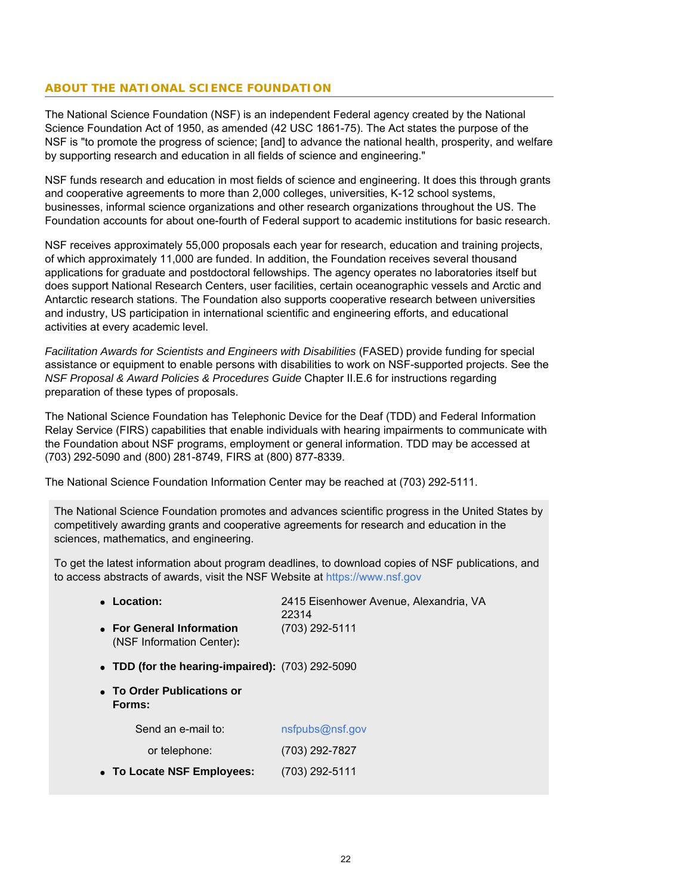#### **ABOUT THE NATIONAL SCIENCE FOUNDATION**

The National Science Foundation (NSF) is an independent Federal agency created by the National Science Foundation Act of 1950, as amended (42 USC 1861-75). The Act states the purpose of the NSF is "to promote the progress of science; [and] to advance the national health, prosperity, and welfare by supporting research and education in all fields of science and engineering."

NSF funds research and education in most fields of science and engineering. It does this through grants and cooperative agreements to more than 2,000 colleges, universities, K-12 school systems, businesses, informal science organizations and other research organizations throughout the US. The Foundation accounts for about one-fourth of Federal support to academic institutions for basic research.

NSF receives approximately 55,000 proposals each year for research, education and training projects, of which approximately 11,000 are funded. In addition, the Foundation receives several thousand applications for graduate and postdoctoral fellowships. The agency operates no laboratories itself but does support National Research Centers, user facilities, certain oceanographic vessels and Arctic and Antarctic research stations. The Foundation also supports cooperative research between universities and industry, US participation in international scientific and engineering efforts, and educational activities at every academic level.

*Facilitation Awards for Scientists and Engineers with Disabilities* (FASED) provide funding for special assistance or equipment to enable persons with disabilities to work on NSF-supported projects. See the *NSF Proposal & Award Policies & Procedures Guide* Chapter II.E.6 for instructions regarding preparation of these types of proposals.

The National Science Foundation has Telephonic Device for the Deaf (TDD) and Federal Information Relay Service (FIRS) capabilities that enable individuals with hearing impairments to communicate with the Foundation about NSF programs, employment or general information. TDD may be accessed at (703) 292-5090 and (800) 281-8749, FIRS at (800) 877-8339.

The National Science Foundation Information Center may be reached at (703) 292-5111.

The National Science Foundation promotes and advances scientific progress in the United States by competitively awarding grants and cooperative agreements for research and education in the sciences, mathematics, and engineering.

To get the latest information about program deadlines, to download copies of NSF publications, and to access abstracts of awards, visit the NSF Website at [https://www.nsf.gov](https://www.nsf.gov/)

| • Location:                                            | 2415 Eisenhower Avenue, Alexandria, VA<br>22314 |  |  |  |  |  |
|--------------------------------------------------------|-------------------------------------------------|--|--|--|--|--|
| • For General Information<br>(NSF Information Center): | (703) 292-5111                                  |  |  |  |  |  |
| • TDD (for the hearing-impaired): $(703)$ 292-5090     |                                                 |  |  |  |  |  |
| • To Order Publications or<br>Forms:                   |                                                 |  |  |  |  |  |
| Send an e-mail to:                                     | nsfpubs@nsf.gov                                 |  |  |  |  |  |
| or telephone:                                          | (703) 292-7827                                  |  |  |  |  |  |
| • To Locate NSF Employees:                             | (703) 292-5111                                  |  |  |  |  |  |